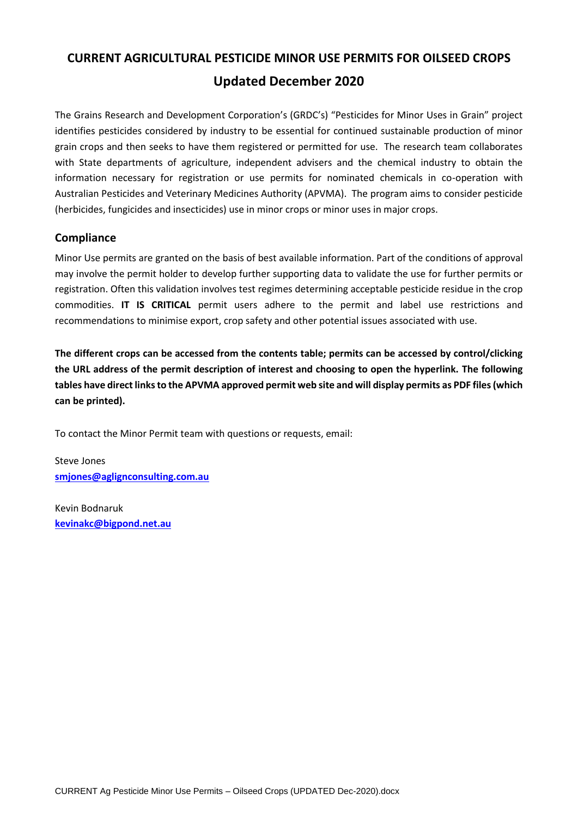# **CURRENT AGRICULTURAL PESTICIDE MINOR USE PERMITS FOR OILSEED CROPS Updated December 2020**

The Grains Research and Development Corporation's (GRDC's) "Pesticides for Minor Uses in Grain" project identifies pesticides considered by industry to be essential for continued sustainable production of minor grain crops and then seeks to have them registered or permitted for use. The research team collaborates with State departments of agriculture, independent advisers and the chemical industry to obtain the information necessary for registration or use permits for nominated chemicals in co-operation with Australian Pesticides and Veterinary Medicines Authority (APVMA). The program aims to consider pesticide (herbicides, fungicides and insecticides) use in minor crops or minor uses in major crops.

#### **Compliance**

Minor Use permits are granted on the basis of best available information. Part of the conditions of approval may involve the permit holder to develop further supporting data to validate the use for further permits or registration. Often this validation involves test regimes determining acceptable pesticide residue in the crop commodities. **IT IS CRITICAL** permit users adhere to the permit and label use restrictions and recommendations to minimise export, crop safety and other potential issues associated with use.

**The different crops can be accessed from the contents table; permits can be accessed by control/clicking the URL address of the permit description of interest and choosing to open the hyperlink. The following tables have direct links to the APVMA approved permit web site and will display permits as PDF files (which can be printed).**

To contact the Minor Permit team with questions or requests, email:

Steve Jones **[smjones@aglignconsulting.com.au](mailto:smjones@aglignconsulting.com.au)**

Kevin Bodnaruk **[kevinakc@bigpond.net.au](mailto:kevinakc@bigpond.net.au)**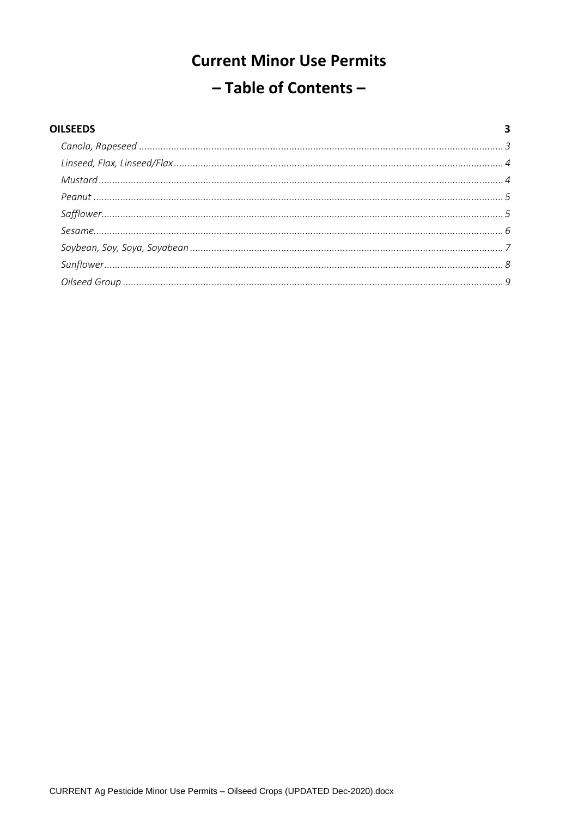# **Current Minor Use Permits** - Table of Contents -

| <b>OILSEEDS</b> |  |
|-----------------|--|
|                 |  |
|                 |  |
|                 |  |
|                 |  |
|                 |  |
|                 |  |
|                 |  |
|                 |  |
|                 |  |
|                 |  |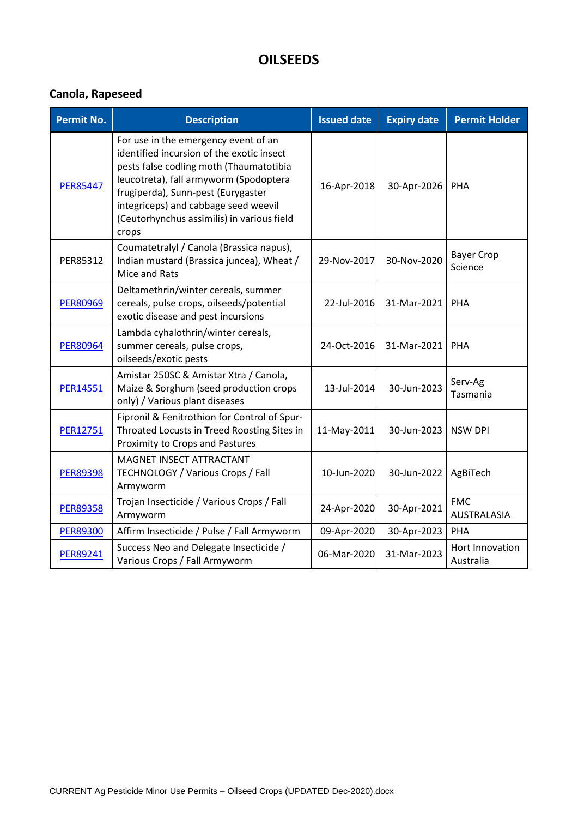# **OILSEEDS**

# **Canola, Rapeseed**

| <b>Permit No.</b> | <b>Description</b>                                                                                                                                                                                                                                                                                          | <b>Issued date</b> | <b>Expiry date</b> | <b>Permit Holder</b>             |
|-------------------|-------------------------------------------------------------------------------------------------------------------------------------------------------------------------------------------------------------------------------------------------------------------------------------------------------------|--------------------|--------------------|----------------------------------|
| <b>PER85447</b>   | For use in the emergency event of an<br>identified incursion of the exotic insect<br>pests false codling moth (Thaumatotibia<br>leucotreta), fall armyworm (Spodoptera<br>frugiperda), Sunn-pest (Eurygaster<br>integriceps) and cabbage seed weevil<br>(Ceutorhynchus assimilis) in various field<br>crops | 16-Apr-2018        | 30-Apr-2026        | PHA                              |
| PER85312          | Coumatetralyl / Canola (Brassica napus),<br>Indian mustard (Brassica juncea), Wheat /<br>Mice and Rats                                                                                                                                                                                                      | 29-Nov-2017        | 30-Nov-2020        | <b>Bayer Crop</b><br>Science     |
| <b>PER80969</b>   | Deltamethrin/winter cereals, summer<br>cereals, pulse crops, oilseeds/potential<br>exotic disease and pest incursions                                                                                                                                                                                       | 22-Jul-2016        | 31-Mar-2021        | <b>PHA</b>                       |
| <b>PER80964</b>   | Lambda cyhalothrin/winter cereals,<br>summer cereals, pulse crops,<br>oilseeds/exotic pests                                                                                                                                                                                                                 | 24-Oct-2016        | 31-Mar-2021        | PHA                              |
| PER14551          | Amistar 250SC & Amistar Xtra / Canola,<br>Maize & Sorghum (seed production crops<br>only) / Various plant diseases                                                                                                                                                                                          | 13-Jul-2014        | 30-Jun-2023        | Serv-Ag<br>Tasmania              |
| <b>PER12751</b>   | Fipronil & Fenitrothion for Control of Spur-<br>Throated Locusts in Treed Roosting Sites in<br>Proximity to Crops and Pastures                                                                                                                                                                              | 11-May-2011        | 30-Jun-2023        | <b>NSW DPI</b>                   |
| <b>PER89398</b>   | MAGNET INSECT ATTRACTANT<br>TECHNOLOGY / Various Crops / Fall<br>Armyworm                                                                                                                                                                                                                                   | 10-Jun-2020        | 30-Jun-2022        | AgBiTech                         |
| <b>PER89358</b>   | Trojan Insecticide / Various Crops / Fall<br>Armyworm                                                                                                                                                                                                                                                       | 24-Apr-2020        | 30-Apr-2021        | <b>FMC</b><br><b>AUSTRALASIA</b> |
| <b>PER89300</b>   | Affirm Insecticide / Pulse / Fall Armyworm                                                                                                                                                                                                                                                                  | 09-Apr-2020        | 30-Apr-2023        | PHA                              |
| PER89241          | Success Neo and Delegate Insecticide /<br>Various Crops / Fall Armyworm                                                                                                                                                                                                                                     | 06-Mar-2020        | 31-Mar-2023        | Hort Innovation<br>Australia     |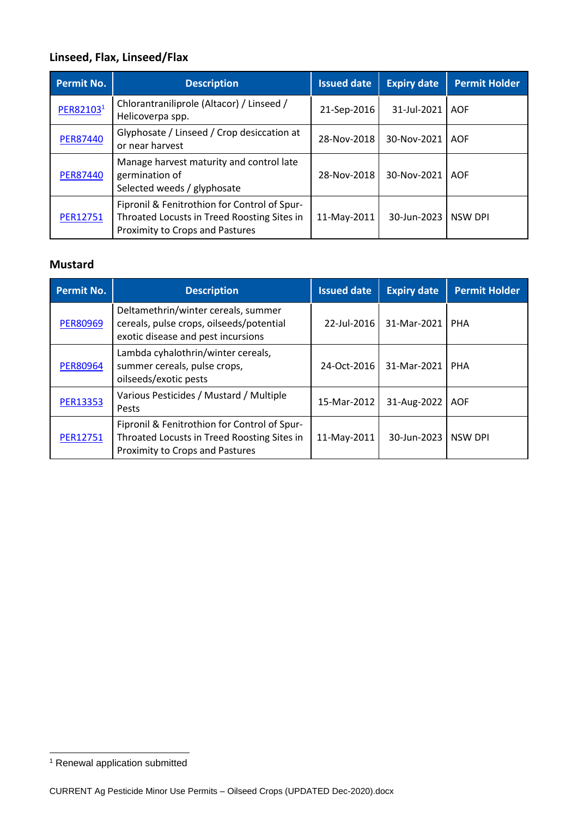# **Linseed, Flax, Linseed/Flax**

| <b>Permit No.</b> | <b>Description</b>                                                                                                             | <b>Issued date</b> | <b>Expiry date</b> | <b>Permit Holder</b> |
|-------------------|--------------------------------------------------------------------------------------------------------------------------------|--------------------|--------------------|----------------------|
| PER821031         | Chlorantraniliprole (Altacor) / Linseed /<br>Helicoverpa spp.                                                                  | 21-Sep-2016        | 31-Jul-2021        | <b>AOF</b>           |
| <b>PER87440</b>   | Glyphosate / Linseed / Crop desiccation at<br>or near harvest                                                                  | 28-Nov-2018        | 30-Nov-2021        | <b>AOF</b>           |
| <b>PER87440</b>   | Manage harvest maturity and control late<br>germination of<br>Selected weeds / glyphosate                                      | 28-Nov-2018        | 30-Nov-2021        | AOF                  |
| <b>PER12751</b>   | Fipronil & Fenitrothion for Control of Spur-<br>Throated Locusts in Treed Roosting Sites in<br>Proximity to Crops and Pastures | 11-May-2011        | 30-Jun-2023        | <b>NSW DPI</b>       |

#### **Mustard**

| <b>Permit No.</b> | <b>Description</b>                                                                                                             | <b>Issued date</b> | <b>Expiry date</b> | <b>Permit Holder</b> |
|-------------------|--------------------------------------------------------------------------------------------------------------------------------|--------------------|--------------------|----------------------|
| <b>PER80969</b>   | Deltamethrin/winter cereals, summer<br>cereals, pulse crops, oilseeds/potential<br>exotic disease and pest incursions          | 22-Jul-2016        | 31-Mar-2021        | <b>PHA</b>           |
| <b>PER80964</b>   | Lambda cyhalothrin/winter cereals,<br>summer cereals, pulse crops,<br>oilseeds/exotic pests                                    | 24-Oct-2016        | 31-Mar-2021        | <b>PHA</b>           |
| <b>PER13353</b>   | Various Pesticides / Mustard / Multiple<br>Pests                                                                               | 15-Mar-2012        | 31-Aug-2022        | <b>AOF</b>           |
| <b>PER12751</b>   | Fipronil & Fenitrothion for Control of Spur-<br>Throated Locusts in Treed Roosting Sites in<br>Proximity to Crops and Pastures | 11-May-2011        | 30-Jun-2023        | <b>NSW DPI</b>       |

<sup>&</sup>lt;sup>1</sup> Renewal application submitted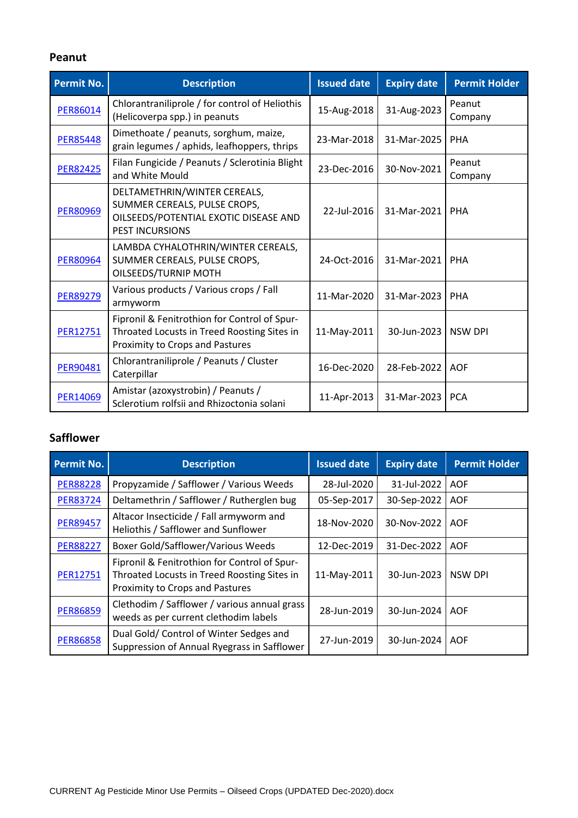#### **Peanut**

| Permit No.      | <b>Description</b>                                                                                                              | <b>Issued date</b> | <b>Expiry date</b> | <b>Permit Holder</b> |
|-----------------|---------------------------------------------------------------------------------------------------------------------------------|--------------------|--------------------|----------------------|
| <b>PER86014</b> | Chlorantraniliprole / for control of Heliothis<br>(Helicoverpa spp.) in peanuts                                                 | 15-Aug-2018        | 31-Aug-2023        | Peanut<br>Company    |
| <b>PER85448</b> | Dimethoate / peanuts, sorghum, maize,<br>grain legumes / aphids, leafhoppers, thrips                                            | 23-Mar-2018        | 31-Mar-2025        | <b>PHA</b>           |
| <b>PER82425</b> | Filan Fungicide / Peanuts / Sclerotinia Blight<br>and White Mould                                                               | 23-Dec-2016        | 30-Nov-2021        | Peanut<br>Company    |
| <b>PER80969</b> | DELTAMETHRIN/WINTER CEREALS,<br>SUMMER CEREALS, PULSE CROPS,<br>OILSEEDS/POTENTIAL EXOTIC DISEASE AND<br><b>PEST INCURSIONS</b> | 22-Jul-2016        | 31-Mar-2021        | <b>PHA</b>           |
| <b>PER80964</b> | LAMBDA CYHALOTHRIN/WINTER CEREALS,<br>SUMMER CEREALS, PULSE CROPS,<br>OILSEEDS/TURNIP MOTH                                      | 24-Oct-2016        | 31-Mar-2021        | PHA                  |
| <b>PER89279</b> | Various products / Various crops / Fall<br>armyworm                                                                             | 11-Mar-2020        | 31-Mar-2023        | PHA                  |
| <b>PER12751</b> | Fipronil & Fenitrothion for Control of Spur-<br>Throated Locusts in Treed Roosting Sites in<br>Proximity to Crops and Pastures  | 11-May-2011        | 30-Jun-2023        | <b>NSW DPI</b>       |
| <b>PER90481</b> | Chlorantraniliprole / Peanuts / Cluster<br>Caterpillar                                                                          | 16-Dec-2020        | 28-Feb-2022        | <b>AOF</b>           |
| <b>PER14069</b> | Amistar (azoxystrobin) / Peanuts /<br>Sclerotium rolfsii and Rhizoctonia solani                                                 | 11-Apr-2013        | 31-Mar-2023        | <b>PCA</b>           |

## **Safflower**

| <b>Permit No.</b> | <b>Description</b>                                                                                                             | <b>Issued date</b> | <b>Expiry date</b> | <b>Permit Holder</b> |
|-------------------|--------------------------------------------------------------------------------------------------------------------------------|--------------------|--------------------|----------------------|
| <b>PER88228</b>   | Propyzamide / Safflower / Various Weeds                                                                                        | 28-Jul-2020        | 31-Jul-2022        | <b>AOF</b>           |
| <b>PER83724</b>   | Deltamethrin / Safflower / Rutherglen bug                                                                                      | 05-Sep-2017        | 30-Sep-2022        | <b>AOF</b>           |
| <b>PER89457</b>   | Altacor Insecticide / Fall armyworm and<br>Heliothis / Safflower and Sunflower                                                 | 18-Nov-2020        | 30-Nov-2022        | <b>AOF</b>           |
| <b>PER88227</b>   | <b>Boxer Gold/Safflower/Various Weeds</b>                                                                                      | 12-Dec-2019        | 31-Dec-2022        | <b>AOF</b>           |
| <b>PER12751</b>   | Fipronil & Fenitrothion for Control of Spur-<br>Throated Locusts in Treed Roosting Sites in<br>Proximity to Crops and Pastures | 11-May-2011        | 30-Jun-2023        | NSW DPI              |
| <b>PER86859</b>   | Clethodim / Safflower / various annual grass<br>weeds as per current clethodim labels                                          | 28-Jun-2019        | 30-Jun-2024        | <b>AOF</b>           |
| <b>PER86858</b>   | Dual Gold/ Control of Winter Sedges and<br>Suppression of Annual Ryegrass in Safflower                                         | 27-Jun-2019        | 30-Jun-2024        | <b>AOF</b>           |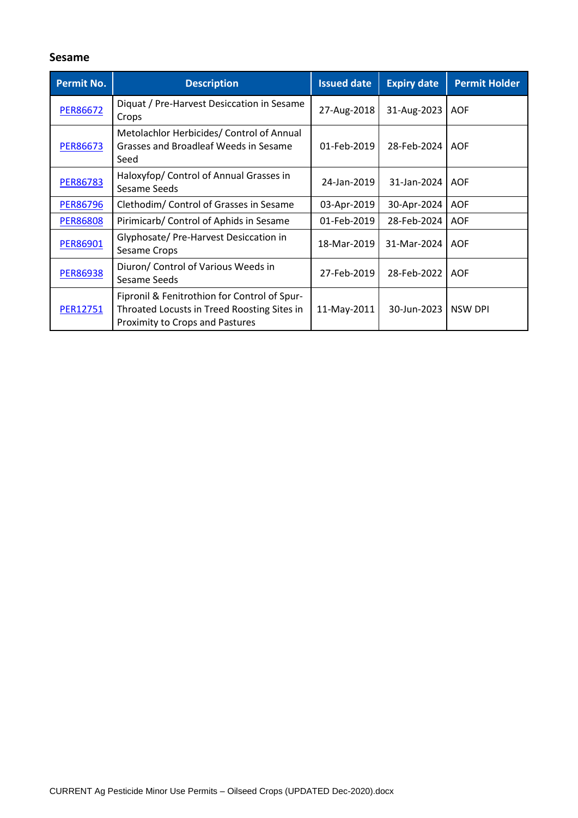#### **Sesame**

| <b>Permit No.</b> | <b>Description</b>                                                                                                             | <b>Issued date</b> | <b>Expiry date</b> | <b>Permit Holder</b> |
|-------------------|--------------------------------------------------------------------------------------------------------------------------------|--------------------|--------------------|----------------------|
| <b>PER86672</b>   | Diquat / Pre-Harvest Desiccation in Sesame<br>Crops                                                                            | 27-Aug-2018        | 31-Aug-2023        | <b>AOF</b>           |
| <b>PER86673</b>   | Metolachlor Herbicides/ Control of Annual<br>Grasses and Broadleaf Weeds in Sesame<br>Seed                                     | 01-Feb-2019        | 28-Feb-2024        | <b>AOF</b>           |
| <b>PER86783</b>   | Haloxyfop/ Control of Annual Grasses in<br>Sesame Seeds                                                                        | 24-Jan-2019        | 31-Jan-2024        | <b>AOF</b>           |
| <b>PER86796</b>   | Clethodim/ Control of Grasses in Sesame                                                                                        | 03-Apr-2019        | 30-Apr-2024        | <b>AOF</b>           |
| <b>PER86808</b>   | Pirimicarb/ Control of Aphids in Sesame                                                                                        | 01-Feb-2019        | 28-Feb-2024        | <b>AOF</b>           |
| PER86901          | Glyphosate/ Pre-Harvest Desiccation in<br>Sesame Crops                                                                         | 18-Mar-2019        | 31-Mar-2024        | <b>AOF</b>           |
| <b>PER86938</b>   | Diuron/ Control of Various Weeds in<br>Sesame Seeds                                                                            | 27-Feb-2019        | 28-Feb-2022        | <b>AOF</b>           |
| <b>PER12751</b>   | Fipronil & Fenitrothion for Control of Spur-<br>Throated Locusts in Treed Roosting Sites in<br>Proximity to Crops and Pastures | 11-May-2011        | 30-Jun-2023        | <b>NSW DPI</b>       |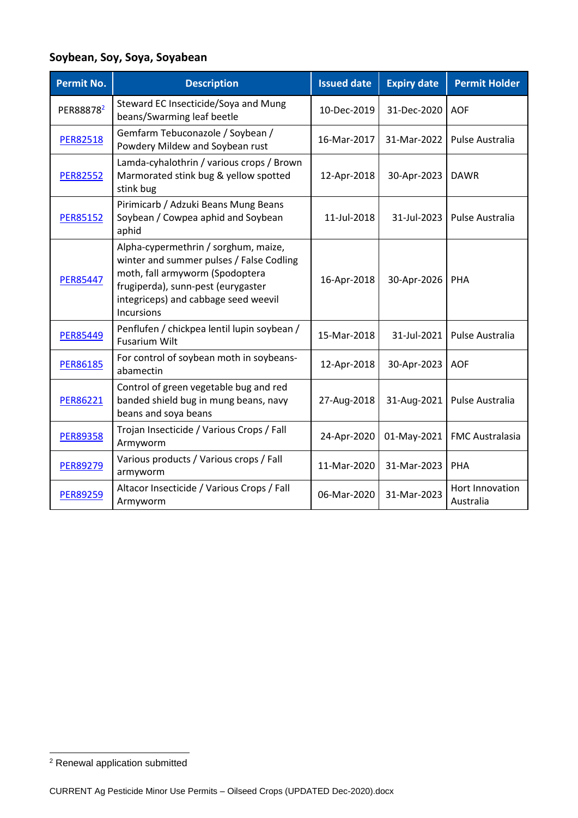# **Soybean, Soy, Soya, Soyabean**

| <b>Permit No.</b>     | <b>Description</b>                                                                                                                                                                                                     | <b>Issued date</b> | <b>Expiry date</b> | <b>Permit Holder</b>         |
|-----------------------|------------------------------------------------------------------------------------------------------------------------------------------------------------------------------------------------------------------------|--------------------|--------------------|------------------------------|
| PER88878 <sup>2</sup> | Steward EC Insecticide/Soya and Mung<br>beans/Swarming leaf beetle                                                                                                                                                     | 10-Dec-2019        | 31-Dec-2020        | <b>AOF</b>                   |
| <b>PER82518</b>       | Gemfarm Tebuconazole / Soybean /<br>Powdery Mildew and Soybean rust                                                                                                                                                    | 16-Mar-2017        | 31-Mar-2022        | Pulse Australia              |
| <b>PER82552</b>       | Lamda-cyhalothrin / various crops / Brown<br>Marmorated stink bug & yellow spotted<br>stink bug                                                                                                                        | 12-Apr-2018        | 30-Apr-2023        | <b>DAWR</b>                  |
| <b>PER85152</b>       | Pirimicarb / Adzuki Beans Mung Beans<br>Soybean / Cowpea aphid and Soybean<br>aphid                                                                                                                                    | 11-Jul-2018        | 31-Jul-2023        | Pulse Australia              |
| <b>PER85447</b>       | Alpha-cypermethrin / sorghum, maize,<br>winter and summer pulses / False Codling<br>moth, fall armyworm (Spodoptera<br>frugiperda), sunn-pest (eurygaster<br>integriceps) and cabbage seed weevil<br><b>Incursions</b> | 16-Apr-2018        | 30-Apr-2026        | <b>PHA</b>                   |
| <b>PER85449</b>       | Penflufen / chickpea lentil lupin soybean /<br><b>Fusarium Wilt</b>                                                                                                                                                    | 15-Mar-2018        | 31-Jul-2021        | Pulse Australia              |
| <b>PER86185</b>       | For control of soybean moth in soybeans-<br>abamectin                                                                                                                                                                  | 12-Apr-2018        | 30-Apr-2023        | <b>AOF</b>                   |
| <b>PER86221</b>       | Control of green vegetable bug and red<br>banded shield bug in mung beans, navy<br>beans and soya beans                                                                                                                | 27-Aug-2018        | 31-Aug-2021        | Pulse Australia              |
| <b>PER89358</b>       | Trojan Insecticide / Various Crops / Fall<br>Armyworm                                                                                                                                                                  | 24-Apr-2020        | 01-May-2021        | <b>FMC Australasia</b>       |
| <b>PER89279</b>       | Various products / Various crops / Fall<br>armyworm                                                                                                                                                                    | 11-Mar-2020        | 31-Mar-2023        | <b>PHA</b>                   |
| <b>PER89259</b>       | Altacor Insecticide / Various Crops / Fall<br>Armyworm                                                                                                                                                                 | 06-Mar-2020        | 31-Mar-2023        | Hort Innovation<br>Australia |

<sup>2</sup> Renewal application submitted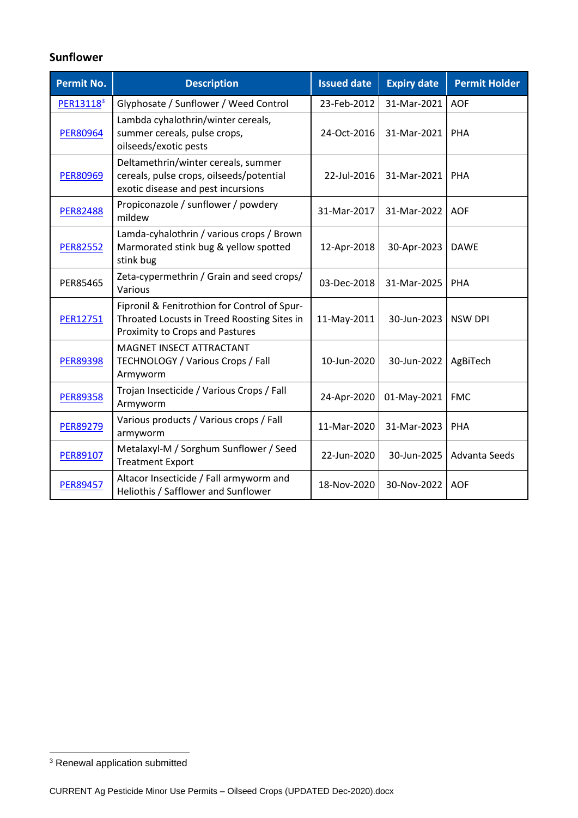## **Sunflower**

| <b>Permit No.</b>     | <b>Description</b>                                                                                                                    | <b>Issued date</b> | <b>Expiry date</b> | <b>Permit Holder</b> |
|-----------------------|---------------------------------------------------------------------------------------------------------------------------------------|--------------------|--------------------|----------------------|
| PER13118 <sup>3</sup> | Glyphosate / Sunflower / Weed Control                                                                                                 | 23-Feb-2012        | 31-Mar-2021        | <b>AOF</b>           |
| <b>PER80964</b>       | Lambda cyhalothrin/winter cereals,<br>summer cereals, pulse crops,<br>oilseeds/exotic pests                                           | 24-Oct-2016        | 31-Mar-2021        | PHA                  |
| <b>PER80969</b>       | Deltamethrin/winter cereals, summer<br>cereals, pulse crops, oilseeds/potential<br>exotic disease and pest incursions                 | 22-Jul-2016        | 31-Mar-2021        | <b>PHA</b>           |
| <b>PER82488</b>       | Propiconazole / sunflower / powdery<br>mildew                                                                                         | 31-Mar-2017        | 31-Mar-2022        | <b>AOF</b>           |
| <b>PER82552</b>       | Lamda-cyhalothrin / various crops / Brown<br>Marmorated stink bug & yellow spotted<br>stink bug                                       | 12-Apr-2018        | 30-Apr-2023        | <b>DAWE</b>          |
| PER85465              | Zeta-cypermethrin / Grain and seed crops/<br>Various                                                                                  | 03-Dec-2018        | 31-Mar-2025        | PHA                  |
| PER12751              | Fipronil & Fenitrothion for Control of Spur-<br>Throated Locusts in Treed Roosting Sites in<br><b>Proximity to Crops and Pastures</b> | 11-May-2011        | 30-Jun-2023        | <b>NSW DPI</b>       |
| <b>PER89398</b>       | MAGNET INSECT ATTRACTANT<br>TECHNOLOGY / Various Crops / Fall<br>Armyworm                                                             | 10-Jun-2020        | 30-Jun-2022        | AgBiTech             |
| <b>PER89358</b>       | Trojan Insecticide / Various Crops / Fall<br>Armyworm                                                                                 | 24-Apr-2020        | 01-May-2021        | <b>FMC</b>           |
| <b>PER89279</b>       | Various products / Various crops / Fall<br>armyworm                                                                                   | 11-Mar-2020        | 31-Mar-2023        | PHA                  |
| PER89107              | Metalaxyl-M / Sorghum Sunflower / Seed<br><b>Treatment Export</b>                                                                     | 22-Jun-2020        | 30-Jun-2025        | Advanta Seeds        |
| <b>PER89457</b>       | Altacor Insecticide / Fall armyworm and<br>Heliothis / Safflower and Sunflower                                                        | 18-Nov-2020        | 30-Nov-2022        | <b>AOF</b>           |

<sup>&</sup>lt;sup>3</sup> Renewal application submitted